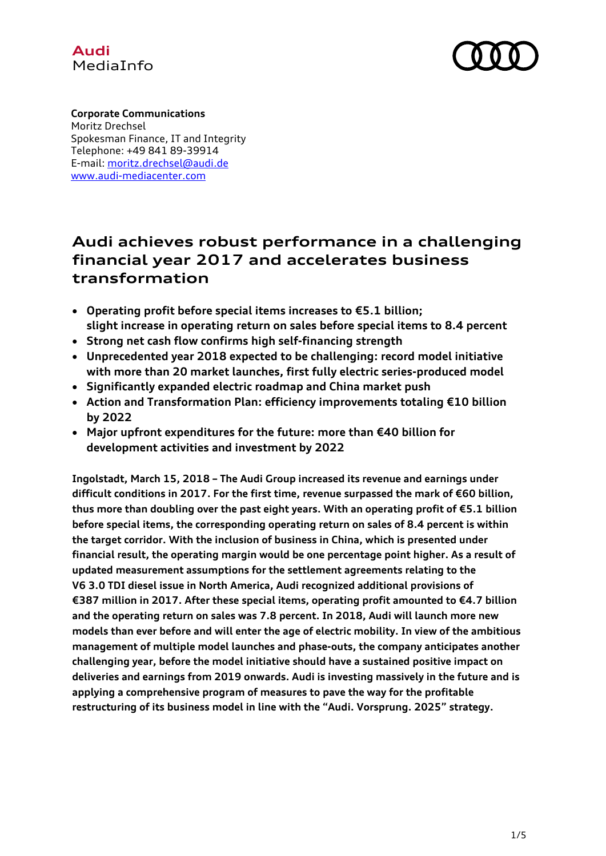



## **Corporate Communications**

 E-mail: moritz.drechsel@audi.de Moritz Drechsel Spokesman Finance, IT and Integrity Telephone: +49 841 89-39914 www.audi-mediacenter.com

## **Audi achieves robust performance in a challenging financial year 2017 and accelerates business transformation**

- **Operating profit before special items increases to €5.1 billion; slight increase in operating return on sales before special items to 8.4 percent**
- **Strong net cash flow confirms high self-financing strength**
- **Unprecedented year 2018 expected to be challenging: record model initiative with more than 20 market launches, first fully electric series-produced model**
- **Significantly expanded electric roadmap and China market push**
- **Action and Transformation Plan: efficiency improvements totaling €10 billion by 2022**
- **Major upfront expenditures for the future: more than €40 billion for development activities and investment by 2022**

**Ingolstadt, March 15, 2018 – The Audi Group increased its revenue and earnings under difficult conditions in 2017. For the first time, revenue surpassed the mark of €60 billion, thus more than doubling over the past eight years. With an operating profit of €5.1 billion before special items, the corresponding operating return on sales of 8.4 percent is within the target corridor. With the inclusion of business in China, which is presented under financial result, the operating margin would be one percentage point higher. As a result of updated measurement assumptions for the settlement agreements relating to the V6 3.0 TDI diesel issue in North America, Audi recognized additional provisions of €387 million in 2017. After these special items, operating profit amounted to €4.7 billion and the operating return on sales was 7.8 percent. In 2018, Audi will launch more new models than ever before and will enter the age of electric mobility. In view of the ambitious management of multiple model launches and phase-outs, the company anticipates another challenging year, before the model initiative should have a sustained positive impact on deliveries and earnings from 2019 onwards. Audi is investing massively in the future and is applying a comprehensive program of measures to pave the way for the profitable restructuring of its business model in line with the "Audi. Vorsprung. 2025" strategy.**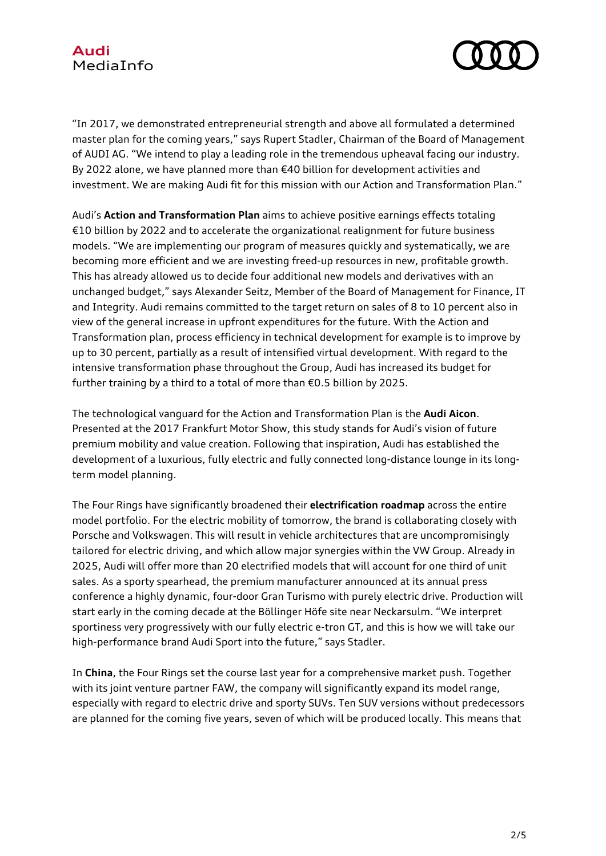## **Audi** MediaInfo



"In 2017, we demonstrated entrepreneurial strength and above all formulated a determined master plan for the coming years," says Rupert Stadler, Chairman of the Board of Management of AUDI AG. "We intend to play a leading role in the tremendous upheaval facing our industry. By 2022 alone, we have planned more than €40 billion for development activities and investment. We are making Audi fit for this mission with our Action and Transformation Plan."

Audi's **Action and Transformation Plan** aims to achieve positive earnings effects totaling €10 billion by 2022 and to accelerate the organizational realignment for future business models. "We are implementing our program of measures quickly and systematically, we are becoming more efficient and we are investing freed-up resources in new, profitable growth. This has already allowed us to decide four additional new models and derivatives with an unchanged budget," says Alexander Seitz, Member of the Board of Management for Finance, IT and Integrity. Audi remains committed to the target return on sales of 8 to 10 percent also in view of the general increase in upfront expenditures for the future. With the Action and Transformation plan, process efficiency in technical development for example is to improve by up to 30 percent, partially as a result of intensified virtual development. With regard to the intensive transformation phase throughout the Group, Audi has increased its budget for further training by a third to a total of more than €0.5 billion by 2025.

The technological vanguard for the Action and Transformation Plan is the **Audi Aicon**. Presented at the 2017 Frankfurt Motor Show, this study stands for Audi's vision of future premium mobility and value creation. Following that inspiration, Audi has established the development of a luxurious, fully electric and fully connected long-distance lounge in its longterm model planning.

The Four Rings have significantly broadened their **electrification roadmap** across the entire model portfolio. For the electric mobility of tomorrow, the brand is collaborating closely with Porsche and Volkswagen. This will result in vehicle architectures that are uncompromisingly tailored for electric driving, and which allow major synergies within the VW Group. Already in 2025, Audi will offer more than 20 electrified models that will account for one third of unit sales. As a sporty spearhead, the premium manufacturer announced at its annual press conference a highly dynamic, four-door Gran Turismo with purely electric drive. Production will start early in the coming decade at the Böllinger Höfe site near Neckarsulm. "We interpret sportiness very progressively with our fully electric e-tron GT, and this is how we will take our high-performance brand Audi Sport into the future," says Stadler.

In **China**, the Four Rings set the course last year for a comprehensive market push. Together with its joint venture partner FAW, the company will significantly expand its model range, especially with regard to electric drive and sporty SUVs. Ten SUV versions without predecessors are planned for the coming five years, seven of which will be produced locally. This means that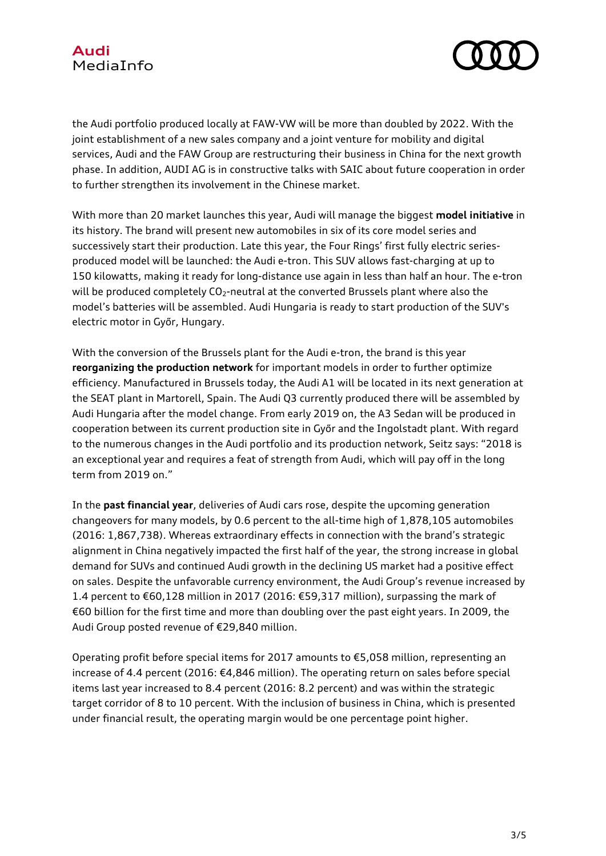



the Audi portfolio produced locally at FAW-VW will be more than doubled by 2022. With the joint establishment of a new sales company and a joint venture for mobility and digital services, Audi and the FAW Group are restructuring their business in China for the next growth phase. In addition, AUDI AG is in constructive talks with SAIC about future cooperation in order to further strengthen its involvement in the Chinese market.

With more than 20 market launches this year, Audi will manage the biggest **model initiative** in its history. The brand will present new automobiles in six of its core model series and successively start their production. Late this year, the Four Rings' first fully electric seriesproduced model will be launched: the Audi e-tron. This SUV allows fast-charging at up to 150 kilowatts, making it ready for long-distance use again in less than half an hour. The e-tron will be produced completely CO<sub>2</sub>-neutral at the converted Brussels plant where also the model's batteries will be assembled. Audi Hungaria is ready to start production of the SUV's electric motor in Győr, Hungary.

With the conversion of the Brussels plant for the Audi e-tron, the brand is this year **reorganizing the production network** for important models in order to further optimize efficiency. Manufactured in Brussels today, the Audi A1 will be located in its next generation at the SEAT plant in Martorell, Spain. The Audi Q3 currently produced there will be assembled by Audi Hungaria after the model change. From early 2019 on, the A3 Sedan will be produced in cooperation between its current production site in Győr and the Ingolstadt plant. With regard to the numerous changes in the Audi portfolio and its production network, Seitz says: "2018 is an exceptional year and requires a feat of strength from Audi, which will pay off in the long term from 2019 on."

In the **past financial year**, deliveries of Audi cars rose, despite the upcoming generation changeovers for many models, by 0.6 percent to the all-time high of 1,878,105 automobiles (2016: 1,867,738). Whereas extraordinary effects in connection with the brand's strategic alignment in China negatively impacted the first half of the year, the strong increase in global demand for SUVs and continued Audi growth in the declining US market had a positive effect on sales. Despite the unfavorable currency environment, the Audi Group's revenue increased by 1.4 percent to €60,128 million in 2017 (2016: €59,317 million), surpassing the mark of €60 billion for the first time and more than doubling over the past eight years. In 2009, the Audi Group posted revenue of €29,840 million.

Operating profit before special items for 2017 amounts to €5,058 million, representing an increase of 4.4 percent (2016: €4,846 million). The operating return on sales before special items last year increased to 8.4 percent (2016: 8.2 percent) and was within the strategic target corridor of 8 to 10 percent. With the inclusion of business in China, which is presented under financial result, the operating margin would be one percentage point higher.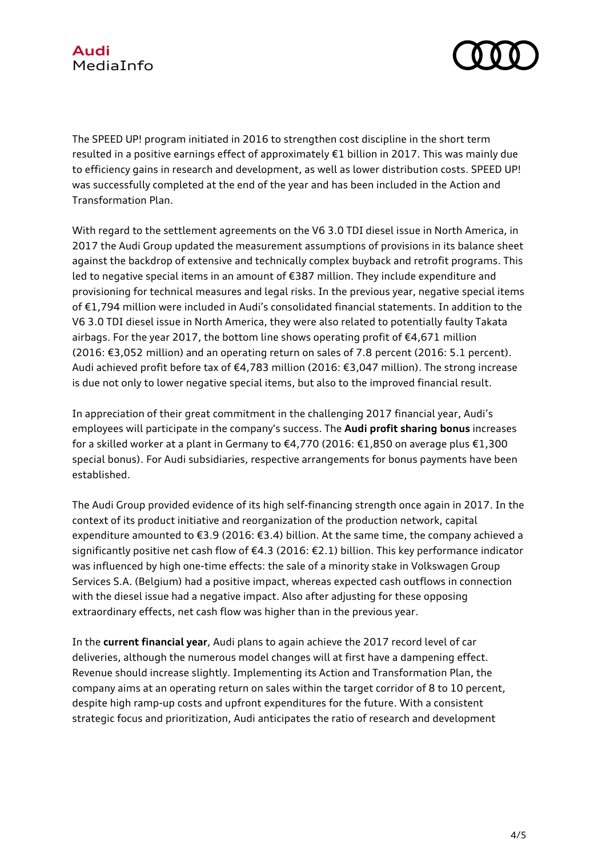

The SPEED UP! program initiated in 2016 to strengthen cost discipline in the short term resulted in a positive earnings effect of approximately €1 billion in 2017. This was mainly due to efficiency gains in research and development, as well as lower distribution costs. SPEED UP! was successfully completed at the end of the year and has been included in the Action and Transformation Plan.

With regard to the settlement agreements on the V6 3.0 TDI diesel issue in North America, in 2017 the Audi Group updated the measurement assumptions of provisions in its balance sheet against the backdrop of extensive and technically complex buyback and retrofit programs. This led to negative special items in an amount of €387 million. They include expenditure and provisioning for technical measures and legal risks. In the previous year, negative special items of €1,794 million were included in Audi's consolidated financial statements. In addition to the V6 3.0 TDI diesel issue in North America, they were also related to potentially faulty Takata airbags. For the year 2017, the bottom line shows operating profit of €4,671 million (2016: €3,052 million) and an operating return on sales of 7.8 percent (2016: 5.1 percent). Audi achieved profit before tax of €4,783 million (2016: €3,047 million). The strong increase is due not only to lower negative special items, but also to the improved financial result.

In appreciation of their great commitment in the challenging 2017 financial year, Audi's employees will participate in the company's success. The **Audi profit sharing bonus** increases for a skilled worker at a plant in Germany to €4,770 (2016: €1,850 on average plus €1,300 special bonus). For Audi subsidiaries, respective arrangements for bonus payments have been established.

The Audi Group provided evidence of its high self-financing strength once again in 2017. In the context of its product initiative and reorganization of the production network, capital expenditure amounted to €3.9 (2016: €3.4) billion. At the same time, the company achieved a significantly positive net cash flow of €4.3 (2016: €2.1) billion. This key performance indicator was influenced by high one-time effects: the sale of a minority stake in Volkswagen Group Services S.A. (Belgium) had a positive impact, whereas expected cash outflows in connection with the diesel issue had a negative impact. Also after adjusting for these opposing extraordinary effects, net cash flow was higher than in the previous year.

In the **current financial year**, Audi plans to again achieve the 2017 record level of car deliveries, although the numerous model changes will at first have a dampening effect. Revenue should increase slightly. Implementing its Action and Transformation Plan, the company aims at an operating return on sales within the target corridor of 8 to 10 percent, despite high ramp-up costs and upfront expenditures for the future. With a consistent strategic focus and prioritization, Audi anticipates the ratio of research and development